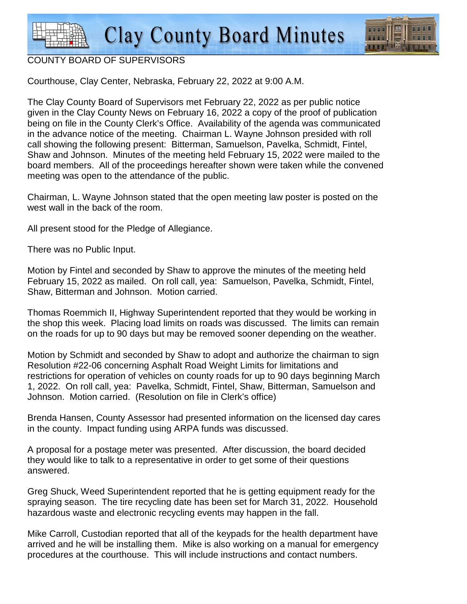

#### COUNTY BOARD OF SUPERVISORS

Courthouse, Clay Center, Nebraska, February 22, 2022 at 9:00 A.M.

The Clay County Board of Supervisors met February 22, 2022 as per public notice given in the Clay County News on February 16, 2022 a copy of the proof of publication being on file in the County Clerk's Office. Availability of the agenda was communicated in the advance notice of the meeting. Chairman L. Wayne Johnson presided with roll call showing the following present: Bitterman, Samuelson, Pavelka, Schmidt, Fintel, Shaw and Johnson. Minutes of the meeting held February 15, 2022 were mailed to the board members. All of the proceedings hereafter shown were taken while the convened meeting was open to the attendance of the public.

Chairman, L. Wayne Johnson stated that the open meeting law poster is posted on the west wall in the back of the room.

All present stood for the Pledge of Allegiance.

There was no Public Input.

Motion by Fintel and seconded by Shaw to approve the minutes of the meeting held February 15, 2022 as mailed. On roll call, yea: Samuelson, Pavelka, Schmidt, Fintel, Shaw, Bitterman and Johnson. Motion carried.

Thomas Roemmich II, Highway Superintendent reported that they would be working in the shop this week. Placing load limits on roads was discussed. The limits can remain on the roads for up to 90 days but may be removed sooner depending on the weather.

Motion by Schmidt and seconded by Shaw to adopt and authorize the chairman to sign Resolution #22-06 concerning Asphalt Road Weight Limits for limitations and restrictions for operation of vehicles on county roads for up to 90 days beginning March 1, 2022. On roll call, yea: Pavelka, Schmidt, Fintel, Shaw, Bitterman, Samuelson and Johnson. Motion carried. (Resolution on file in Clerk's office)

Brenda Hansen, County Assessor had presented information on the licensed day cares in the county. Impact funding using ARPA funds was discussed.

A proposal for a postage meter was presented. After discussion, the board decided they would like to talk to a representative in order to get some of their questions answered.

Greg Shuck, Weed Superintendent reported that he is getting equipment ready for the spraying season. The tire recycling date has been set for March 31, 2022. Household hazardous waste and electronic recycling events may happen in the fall.

Mike Carroll, Custodian reported that all of the keypads for the health department have arrived and he will be installing them. Mike is also working on a manual for emergency procedures at the courthouse. This will include instructions and contact numbers.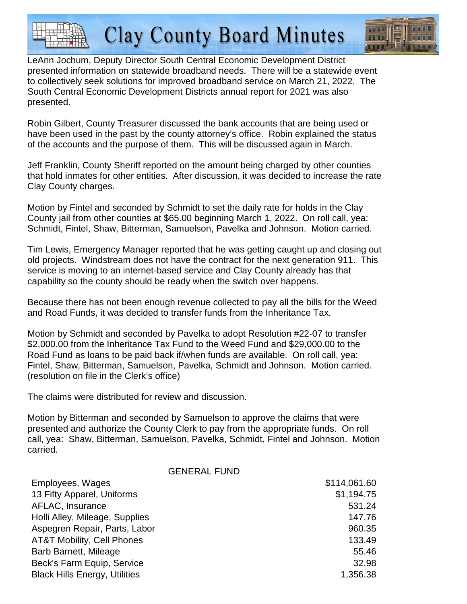

LeAnn Jochum, Deputy Director South Central Economic Development District presented information on statewide broadband needs. There will be a statewide event to collectively seek solutions for improved broadband service on March 21, 2022. The South Central Economic Development Districts annual report for 2021 was also presented.

Robin Gilbert, County Treasurer discussed the bank accounts that are being used or have been used in the past by the county attorney's office. Robin explained the status of the accounts and the purpose of them. This will be discussed again in March.

Jeff Franklin, County Sheriff reported on the amount being charged by other counties that hold inmates for other entities. After discussion, it was decided to increase the rate Clay County charges.

Motion by Fintel and seconded by Schmidt to set the daily rate for holds in the Clay County jail from other counties at \$65.00 beginning March 1, 2022. On roll call, yea: Schmidt, Fintel, Shaw, Bitterman, Samuelson, Pavelka and Johnson. Motion carried.

Tim Lewis, Emergency Manager reported that he was getting caught up and closing out old projects. Windstream does not have the contract for the next generation 911. This service is moving to an internet-based service and Clay County already has that capability so the county should be ready when the switch over happens.

Because there has not been enough revenue collected to pay all the bills for the Weed and Road Funds, it was decided to transfer funds from the Inheritance Tax.

Motion by Schmidt and seconded by Pavelka to adopt Resolution #22-07 to transfer \$2,000.00 from the Inheritance Tax Fund to the Weed Fund and \$29,000.00 to the Road Fund as loans to be paid back if/when funds are available. On roll call, yea: Fintel, Shaw, Bitterman, Samuelson, Pavelka, Schmidt and Johnson. Motion carried. (resolution on file in the Clerk's office)

The claims were distributed for review and discussion.

Motion by Bitterman and seconded by Samuelson to approve the claims that were presented and authorize the County Clerk to pay from the appropriate funds. On roll call, yea: Shaw, Bitterman, Samuelson, Pavelka, Schmidt, Fintel and Johnson. Motion carried.

#### GENERAL FUND

| Employees, Wages                      | \$114,061.60 |
|---------------------------------------|--------------|
| 13 Fifty Apparel, Uniforms            | \$1,194.75   |
| AFLAC, Insurance                      | 531.24       |
| Holli Alley, Mileage, Supplies        | 147.76       |
| Aspegren Repair, Parts, Labor         | 960.35       |
| <b>AT&amp;T Mobility, Cell Phones</b> | 133.49       |
| Barb Barnett, Mileage                 | 55.46        |
| Beck's Farm Equip, Service            | 32.98        |
| <b>Black Hills Energy, Utilities</b>  | 1,356.38     |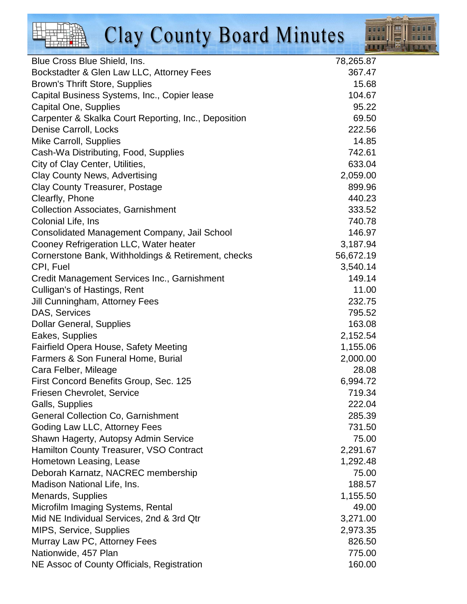

| Blue Cross Blue Shield, Ins.                         | 78,265.87 |
|------------------------------------------------------|-----------|
| Bockstadter & Glen Law LLC, Attorney Fees            | 367.47    |
| Brown's Thrift Store, Supplies                       | 15.68     |
| Capital Business Systems, Inc., Copier lease         | 104.67    |
| Capital One, Supplies                                | 95.22     |
| Carpenter & Skalka Court Reporting, Inc., Deposition | 69.50     |
| Denise Carroll, Locks                                | 222.56    |
| Mike Carroll, Supplies                               | 14.85     |
| Cash-Wa Distributing, Food, Supplies                 | 742.61    |
| City of Clay Center, Utilities,                      | 633.04    |
| <b>Clay County News, Advertising</b>                 | 2,059.00  |
| <b>Clay County Treasurer, Postage</b>                | 899.96    |
| Clearfly, Phone                                      | 440.23    |
| <b>Collection Associates, Garnishment</b>            | 333.52    |
| Colonial Life, Ins                                   | 740.78    |
| <b>Consolidated Management Company, Jail School</b>  | 146.97    |
| Cooney Refrigeration LLC, Water heater               | 3,187.94  |
| Cornerstone Bank, Withholdings & Retirement, checks  | 56,672.19 |
| CPI, Fuel                                            | 3,540.14  |
| Credit Management Services Inc., Garnishment         | 149.14    |
| Culligan's of Hastings, Rent                         | 11.00     |
| Jill Cunningham, Attorney Fees                       | 232.75    |
| DAS, Services                                        | 795.52    |
| <b>Dollar General, Supplies</b>                      | 163.08    |
| Eakes, Supplies                                      | 2,152.54  |
| <b>Fairfield Opera House, Safety Meeting</b>         | 1,155.06  |
| Farmers & Son Funeral Home, Burial                   | 2,000.00  |
| Cara Felber, Mileage                                 | 28.08     |
| First Concord Benefits Group, Sec. 125               | 6,994.72  |
| <b>Friesen Chevrolet, Service</b>                    | 719.34    |
| Galls, Supplies                                      | 222.04    |
| <b>General Collection Co, Garnishment</b>            | 285.39    |
| Goding Law LLC, Attorney Fees                        | 731.50    |
| Shawn Hagerty, Autopsy Admin Service                 | 75.00     |
| Hamilton County Treasurer, VSO Contract              | 2,291.67  |
| Hometown Leasing, Lease                              | 1,292.48  |
| Deborah Karnatz, NACREC membership                   | 75.00     |
| Madison National Life, Ins.                          | 188.57    |
| Menards, Supplies                                    | 1,155.50  |
| Microfilm Imaging Systems, Rental                    | 49.00     |
| Mid NE Individual Services, 2nd & 3rd Qtr            | 3,271.00  |
| MIPS, Service, Supplies                              | 2,973.35  |
| Murray Law PC, Attorney Fees                         | 826.50    |
| Nationwide, 457 Plan                                 | 775.00    |
| NE Assoc of County Officials, Registration           | 160.00    |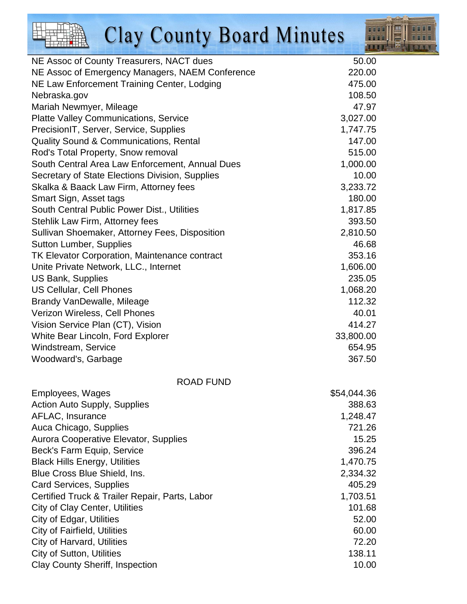

| NE Assoc of County Treasurers, NACT dues        | 50.00       |
|-------------------------------------------------|-------------|
| NE Assoc of Emergency Managers, NAEM Conference | 220.00      |
| NE Law Enforcement Training Center, Lodging     | 475.00      |
| Nebraska.gov                                    | 108.50      |
| Mariah Newmyer, Mileage                         | 47.97       |
| <b>Platte Valley Communications, Service</b>    | 3,027.00    |
| PrecisionIT, Server, Service, Supplies          | 1,747.75    |
| Quality Sound & Communications, Rental          | 147.00      |
| Rod's Total Property, Snow removal              | 515.00      |
| South Central Area Law Enforcement, Annual Dues | 1,000.00    |
| Secretary of State Elections Division, Supplies | 10.00       |
| Skalka & Baack Law Firm, Attorney fees          | 3,233.72    |
| Smart Sign, Asset tags                          | 180.00      |
| South Central Public Power Dist., Utilities     | 1,817.85    |
| Stehlik Law Firm, Attorney fees                 | 393.50      |
| Sullivan Shoemaker, Attorney Fees, Disposition  | 2,810.50    |
| <b>Sutton Lumber, Supplies</b>                  | 46.68       |
| TK Elevator Corporation, Maintenance contract   | 353.16      |
| Unite Private Network, LLC., Internet           | 1,606.00    |
| <b>US Bank, Supplies</b>                        | 235.05      |
| <b>US Cellular, Cell Phones</b>                 | 1,068.20    |
| Brandy VanDewalle, Mileage                      | 112.32      |
| Verizon Wireless, Cell Phones                   | 40.01       |
| Vision Service Plan (CT), Vision                | 414.27      |
| White Bear Lincoln, Ford Explorer               | 33,800.00   |
| Windstream, Service                             | 654.95      |
| Woodward's, Garbage                             | 367.50      |
| <b>ROAD FUND</b>                                |             |
| Employees, Wages                                | \$54,044.36 |
| <b>Action Auto Supply, Supplies</b>             | 388.63      |
| AFLAC, Insurance                                | 1,248.47    |
| Auca Chicago, Supplies                          | 721.26      |
| Aurora Cooperative Elevator, Supplies           | 15.25       |
| Beck's Farm Equip, Service                      | 396.24      |
| <b>Black Hills Energy, Utilities</b>            | 1,470.75    |
| Blue Cross Blue Shield, Ins.                    | 2,334.32    |
| <b>Card Services, Supplies</b>                  | 405.29      |
| Certified Truck & Trailer Repair, Parts, Labor  | 1,703.51    |
|                                                 |             |

Clay County Sheriff, Inspection 10.00

City of Clay Center, Utilities 101.68 City of Edgar, Utilities 52.00 City of Fairfield, Utilities 60.00 City of Harvard, Utilities 72.20

**City of Sutton, Utilities 138.11** 138.11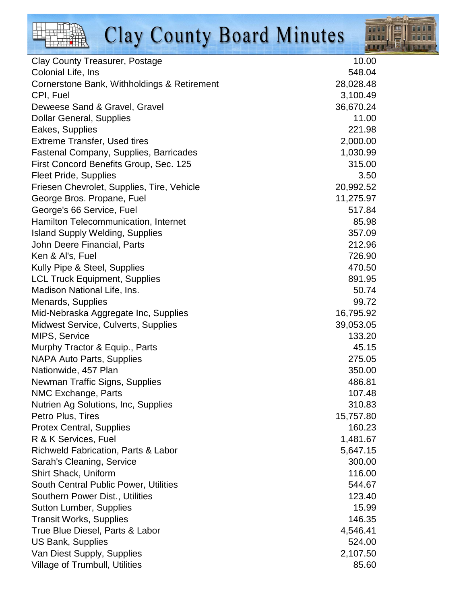

| <b>Clay County Treasurer, Postage</b>          | 10.00            |
|------------------------------------------------|------------------|
| Colonial Life, Ins                             | 548.04           |
| Cornerstone Bank, Withholdings & Retirement    | 28,028.48        |
| CPI, Fuel                                      | 3,100.49         |
| Deweese Sand & Gravel, Gravel                  | 36,670.24        |
| <b>Dollar General, Supplies</b>                | 11.00            |
| Eakes, Supplies                                | 221.98           |
| <b>Extreme Transfer, Used tires</b>            | 2,000.00         |
| <b>Fastenal Company, Supplies, Barricades</b>  | 1,030.99         |
| First Concord Benefits Group, Sec. 125         | 315.00           |
| <b>Fleet Pride, Supplies</b>                   | 3.5 <sub>0</sub> |
| Friesen Chevrolet, Supplies, Tire, Vehicle     | 20,992.52        |
| George Bros. Propane, Fuel                     | 11,275.97        |
| George's 66 Service, Fuel                      | 517.84           |
| Hamilton Telecommunication, Internet           | 85.98            |
| <b>Island Supply Welding, Supplies</b>         | 357.09           |
| John Deere Financial, Parts                    | 212.96           |
| Ken & Al's, Fuel                               | 726.90           |
| Kully Pipe & Steel, Supplies                   | 470.50           |
| <b>LCL Truck Equipment, Supplies</b>           | 891.95           |
| Madison National Life, Ins.                    | 50.74            |
| Menards, Supplies                              | 99.72            |
| Mid-Nebraska Aggregate Inc, Supplies           | 16,795.92        |
| Midwest Service, Culverts, Supplies            | 39,053.05        |
| MIPS, Service                                  | 133.20           |
| Murphy Tractor & Equip., Parts                 | 45.15            |
| <b>NAPA Auto Parts, Supplies</b>               | 275.05           |
| Nationwide, 457 Plan                           | 350.00           |
| Newman Traffic Signs, Supplies                 | 486.81           |
| NMC Exchange, Parts                            | 107.48           |
| Nutrien Ag Solutions, Inc, Supplies            | 310.83           |
| Petro Plus, Tires                              | 15,757.80        |
| <b>Protex Central, Supplies</b>                | 160.23           |
| R & K Services, Fuel                           | 1,481.67         |
| <b>Richweld Fabrication, Parts &amp; Labor</b> | 5,647.15         |
| Sarah's Cleaning, Service                      | 300.00           |
| Shirt Shack, Uniform                           | 116.00           |
| South Central Public Power, Utilities          | 544.67           |
| <b>Southern Power Dist., Utilities</b>         | 123.40           |
| <b>Sutton Lumber, Supplies</b>                 | 15.99            |
| <b>Transit Works, Supplies</b>                 | 146.35           |
| True Blue Diesel, Parts & Labor                | 4,546.41         |
| <b>US Bank, Supplies</b>                       | 524.00           |
| Van Diest Supply, Supplies                     | 2,107.50         |
| Village of Trumbull, Utilities                 | 85.60            |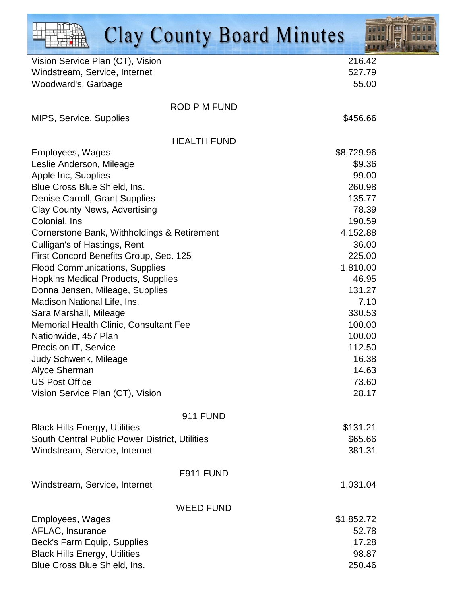| <b>Clay County Board Minutes</b>                                     | FIFITH T        |
|----------------------------------------------------------------------|-----------------|
| Vision Service Plan (CT), Vision                                     | 216.42          |
| Windstream, Service, Internet                                        | 527.79          |
| Woodward's, Garbage                                                  | 55.00           |
| <b>ROD P M FUND</b>                                                  |                 |
| MIPS, Service, Supplies                                              | \$456.66        |
| <b>HEALTH FUND</b>                                                   |                 |
| Employees, Wages                                                     | \$8,729.96      |
| Leslie Anderson, Mileage                                             | \$9.36          |
| Apple Inc, Supplies                                                  | 99.00           |
| Blue Cross Blue Shield, Ins.                                         | 260.98          |
| Denise Carroll, Grant Supplies                                       | 135.77          |
| <b>Clay County News, Advertising</b>                                 | 78.39           |
| Colonial, Ins                                                        | 190.59          |
| Cornerstone Bank, Withholdings & Retirement                          | 4,152.88        |
| Culligan's of Hastings, Rent                                         | 36.00           |
| First Concord Benefits Group, Sec. 125                               | 225.00          |
| <b>Flood Communications, Supplies</b>                                | 1,810.00        |
| <b>Hopkins Medical Products, Supplies</b>                            | 46.95           |
| Donna Jensen, Mileage, Supplies                                      | 131.27          |
| Madison National Life, Ins.                                          | 7.10            |
| Sara Marshall, Mileage                                               | 330.53          |
| Memorial Health Clinic, Consultant Fee                               | 100.00          |
| Nationwide, 457 Plan                                                 | 100.00          |
| <b>Precision IT, Service</b>                                         | 112.50          |
| Judy Schwenk, Mileage                                                | 16.38           |
| Alyce Sherman<br><b>US Post Office</b>                               | 14.63<br>73.60  |
| Vision Service Plan (CT), Vision                                     | 28.17           |
|                                                                      |                 |
| <b>911 FUND</b>                                                      |                 |
| <b>Black Hills Energy, Utilities</b>                                 | \$131.21        |
| South Central Public Power District, Utilities                       | \$65.66         |
| Windstream, Service, Internet                                        | 381.31          |
| E911 FUND                                                            |                 |
| Windstream, Service, Internet                                        | 1,031.04        |
|                                                                      |                 |
| <b>WEED FUND</b>                                                     |                 |
| Employees, Wages                                                     | \$1,852.72      |
| AFLAC, Insurance                                                     | 52.78           |
| Beck's Farm Equip, Supplies                                          | 17.28           |
| <b>Black Hills Energy, Utilities</b><br>Blue Cross Blue Shield, Ins. | 98.87<br>250.46 |
|                                                                      |                 |